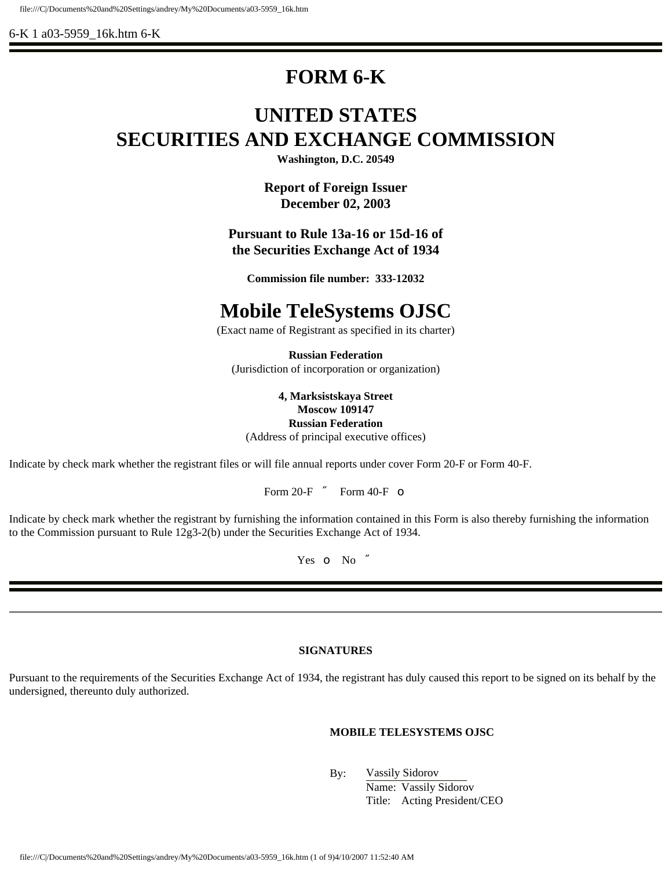6-K 1 a03-5959\_16k.htm 6-K

# **FORM 6-K**

# **UNITED STATES SECURITIES AND EXCHANGE COMMISSION**

**Washington, D.C. 20549**

**Report of Foreign Issuer December 02, 2003**

**Pursuant to Rule 13a-16 or 15d-16 of the Securities Exchange Act of 1934**

**Commission file number: 333-12032**

# **Mobile TeleSystems OJSC**

(Exact name of Registrant as specified in its charter)

**Russian Federation** (Jurisdiction of incorporation or organization)

**4, Marksistskaya Street Moscow 109147 Russian Federation** (Address of principal executive offices)

Indicate by check mark whether the registrant files or will file annual reports under cover Form 20-F or Form 40-F.

Form 20-F  $\dot{\mathbf{y}}$  Form 40-F  $\bullet$ 

Indicate by check mark whether the registrant by furnishing the information contained in this Form is also thereby furnishing the information to the Commission pursuant to Rule 12g3-2(b) under the Securities Exchange Act of 1934.

Yes o No y

## **SIGNATURES**

Pursuant to the requirements of the Securities Exchange Act of 1934, the registrant has duly caused this report to be signed on its behalf by the undersigned, thereunto duly authorized.

## **MOBILE TELESYSTEMS OJSC**

By: Vassily Sidorov

Name: Vassily Sidorov Title: Acting President/CEO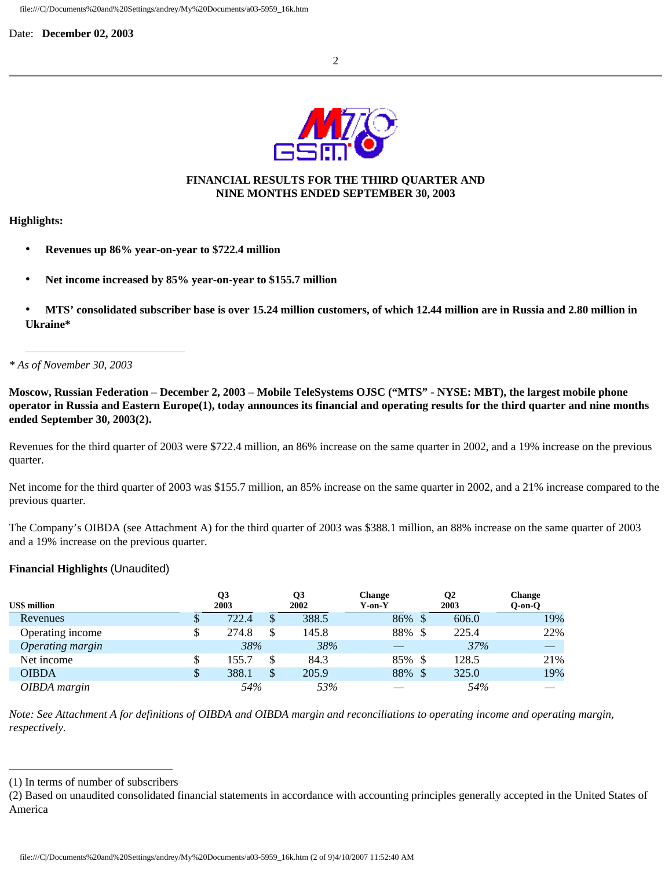

# **FINANCIAL RESULTS FOR THE THIRD QUARTER AND NINE MONTHS ENDED SEPTEMBER 30, 2003**

## **Highlights:**

- **Revenues up 86% year-on-year to \$722.4 million**
- **Net income increased by 85% year-on-year to \$155.7 million**
- **MTS' consolidated subscriber base is over 15.24 million customers, of which 12.44 million are in Russia and 2.80 million in Ukraine\***

## *\* As of November 30, 2003*

**Moscow, Russian Federation – December 2, 2003** *–* **Mobile TeleSystems OJSC ("MTS" - NYSE: MBT), the largest mobile phone operator in Russia and Eastern Europe(1), today announces its financial and operating results for the third quarter and nine months ended September 30, 2003(2).**

Revenues for the third quarter of 2003 were \$722.4 million, an 86% increase on the same quarter in 2002, and a 19% increase on the previous quarter.

Net income for the third quarter of 2003 was \$155.7 million, an 85% increase on the same quarter in 2002, and a 21% increase compared to the previous quarter.

The Company's OIBDA (see Attachment A) for the third quarter of 2003 was \$388.1 million, an 88% increase on the same quarter of 2003 and a 19% increase on the previous quarter.

## **Financial Highlights** (Unaudited)

|                     | Q <sub>3</sub> |              | Q3    | <b>Change</b> | Q2    | <b>Change</b> |
|---------------------|----------------|--------------|-------|---------------|-------|---------------|
| <b>US\$</b> million | 2003           |              | 2002  | $Y$ -on- $Y$  | 2003  | $Q-on-O$      |
| Revenues            | 722.4          |              | 388.5 | 86%           | 606.0 | 19%           |
| Operating income    | 274.8          |              | 145.8 | 88%           | 225.4 | 22%           |
| Operating margin    | 38%            |              | 38%   |               | 37%   |               |
| Net income          | 155.7          |              | 84.3  | 85%           | 128.5 | 21%           |
| <b>OIBDA</b>        | 388.1          | $\mathbb{S}$ | 205.9 | 88%           | 325.0 | 19%           |
| OIBDA margin        | 54%            |              | 53%   |               | 54%   |               |

*Note: See Attachment A for definitions of OIBDA and OIBDA margin and reconciliations to operating income and operating margin, respectively.*

<sup>(1)</sup> In terms of number of subscribers

<sup>(2)</sup> Based on unaudited consolidated financial statements in accordance with accounting principles generally accepted in the United States of America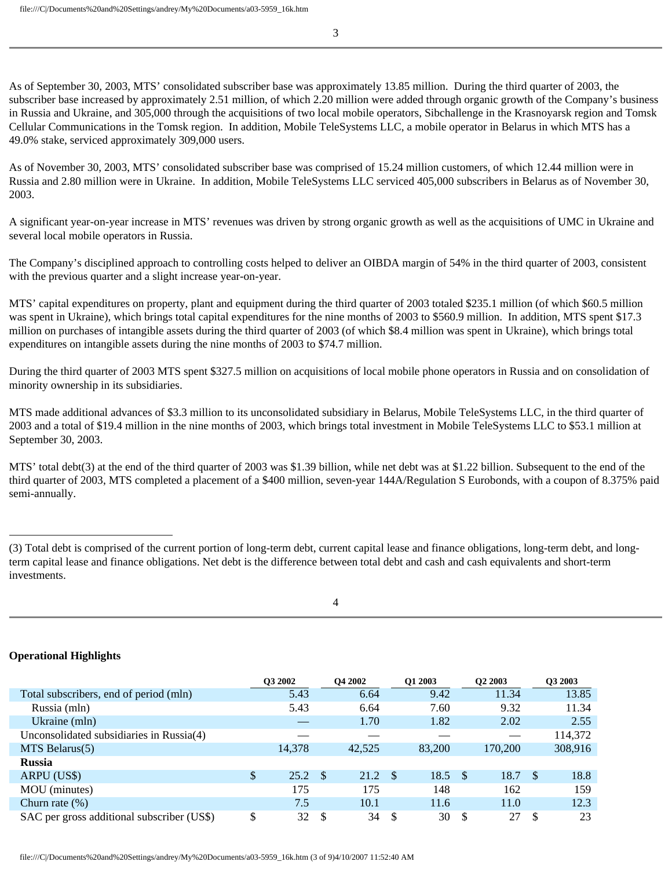As of September 30, 2003, MTS' consolidated subscriber base was approximately 13.85 million. During the third quarter of 2003, the subscriber base increased by approximately 2.51 million, of which 2.20 million were added through organic growth of the Company's business in Russia and Ukraine, and 305,000 through the acquisitions of two local mobile operators, Sibchallenge in the Krasnoyarsk region and Tomsk Cellular Communications in the Tomsk region. In addition, Mobile TeleSystems LLC, a mobile operator in Belarus in which MTS has a 49.0% stake, serviced approximately 309,000 users.

As of November 30, 2003, MTS' consolidated subscriber base was comprised of 15.24 million customers, of which 12.44 million were in Russia and 2.80 million were in Ukraine. In addition, Mobile TeleSystems LLC serviced 405,000 subscribers in Belarus as of November 30, 2003.

A significant year-on-year increase in MTS' revenues was driven by strong organic growth as well as the acquisitions of UMC in Ukraine and several local mobile operators in Russia.

The Company's disciplined approach to controlling costs helped to deliver an OIBDA margin of 54% in the third quarter of 2003, consistent with the previous quarter and a slight increase year-on-year.

MTS' capital expenditures on property, plant and equipment during the third quarter of 2003 totaled \$235.1 million (of which \$60.5 million was spent in Ukraine), which brings total capital expenditures for the nine months of 2003 to \$560.9 million. In addition, MTS spent \$17.3 million on purchases of intangible assets during the third quarter of 2003 (of which \$8.4 million was spent in Ukraine), which brings total expenditures on intangible assets during the nine months of 2003 to \$74.7 million.

During the third quarter of 2003 MTS spent \$327.5 million on acquisitions of local mobile phone operators in Russia and on consolidation of minority ownership in its subsidiaries.

MTS made additional advances of \$3.3 million to its unconsolidated subsidiary in Belarus, Mobile TeleSystems LLC, in the third quarter of 2003 and a total of \$19.4 million in the nine months of 2003, which brings total investment in Mobile TeleSystems LLC to \$53.1 million at September 30, 2003.

MTS' total debt(3) at the end of the third quarter of 2003 was \$1.39 billion, while net debt was at \$1.22 billion. Subsequent to the end of the third quarter of 2003, MTS completed a placement of a \$400 million, seven-year 144A/Regulation S Eurobonds, with a coupon of 8.375% paid semi-annually.

<sup>(3)</sup> Total debt is comprised of the current portion of long-term debt, current capital lease and finance obligations, long-term debt, and longterm capital lease and finance obligations. Net debt is the difference between total debt and cash and cash equivalents and short-term investments.

# **Operational Highlights**

|                                            | <b>O3 2002</b> |               | <b>O4 2002</b> |      | O1 2003 |      | O <sub>2</sub> 2003 |      | O3 2003 |
|--------------------------------------------|----------------|---------------|----------------|------|---------|------|---------------------|------|---------|
| Total subscribers, end of period (mln)     | 5.43           |               | 6.64           |      | 9.42    |      | 11.34               |      | 13.85   |
| Russia (mln)                               | 5.43           |               | 6.64           |      | 7.60    |      | 9.32                |      | 11.34   |
| Ukraine (mln)                              |                |               | 1.70           |      | 1.82    |      | 2.02                |      | 2.55    |
| Unconsolidated subsidiaries in Russia(4)   |                |               |                |      |         |      |                     |      | 114,372 |
| $MTS$ Belarus(5)                           | 14,378         |               | 42,525         |      | 83,200  |      | 170,200             |      | 308,916 |
| <b>Russia</b>                              |                |               |                |      |         |      |                     |      |         |
| ARPU (US\$)                                | \$<br>25.2     | - \$          | 21.2           | - \$ | 18.5    | - \$ | 18.7                | - \$ | 18.8    |
| MOU (minutes)                              | 175            |               | 175            |      | 148     |      | 162                 |      | 159     |
| Churn rate $(\%)$                          | 7.5            |               | 10.1           |      | 11.6    |      | 11.0                |      | 12.3    |
| SAC per gross additional subscriber (US\$) | \$<br>32       | <sup>\$</sup> | 34             | -8   | 30      | -S   | 27                  | -S   | 23      |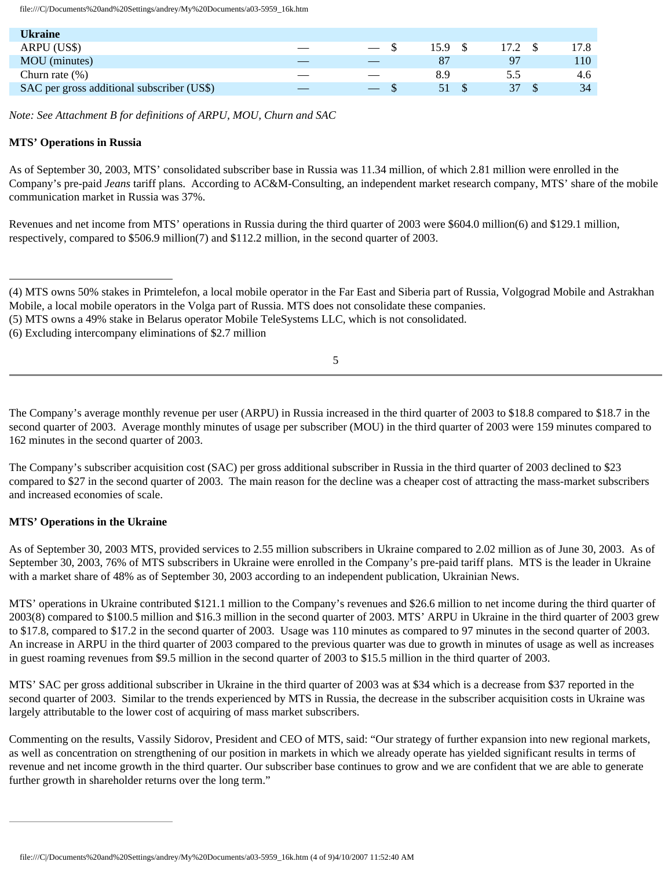| Ukraine                                    |     |                          |      |    |      |
|--------------------------------------------|-----|--------------------------|------|----|------|
| ARPU (US\$)                                | __  | $\overline{\phantom{a}}$ | 15.9 |    | 17.8 |
| MOU (minutes)                              |     |                          | 87   | 97 | 110  |
| Churn rate $(\%)$                          | ___ | $\overline{\phantom{a}}$ | 8.9  |    | 4.6  |
| SAC per gross additional subscriber (US\$) |     |                          | 51   | 37 | 34   |

*Note: See Attachment B for definitions of ARPU, MOU, Churn and SAC*

## **MTS' Operations in Russia**

As of September 30, 2003, MTS' consolidated subscriber base in Russia was 11.34 million, of which 2.81 million were enrolled in the Company's pre-paid *Jeans* tariff plans. According to AC&M-Consulting, an independent market research company, MTS' share of the mobile communication market in Russia was 37%.

Revenues and net income from MTS' operations in Russia during the third quarter of 2003 were \$604.0 million(6) and \$129.1 million, respectively, compared to \$506.9 million(7) and \$112.2 million, in the second quarter of 2003.

(6) Excluding intercompany eliminations of \$2.7 million

5

The Company's average monthly revenue per user (ARPU) in Russia increased in the third quarter of 2003 to \$18.8 compared to \$18.7 in the second quarter of 2003. Average monthly minutes of usage per subscriber (MOU) in the third quarter of 2003 were 159 minutes compared to 162 minutes in the second quarter of 2003.

The Company's subscriber acquisition cost (SAC) per gross additional subscriber in Russia in the third quarter of 2003 declined to \$23 compared to \$27 in the second quarter of 2003. The main reason for the decline was a cheaper cost of attracting the mass-market subscribers and increased economies of scale.

## **MTS' Operations in the Ukraine**

As of September 30, 2003 MTS, provided services to 2.55 million subscribers in Ukraine compared to 2.02 million as of June 30, 2003. As of September 30, 2003, 76% of MTS subscribers in Ukraine were enrolled in the Company's pre-paid tariff plans. MTS is the leader in Ukraine with a market share of 48% as of September 30, 2003 according to an independent publication, Ukrainian News.

MTS' operations in Ukraine contributed \$121.1 million to the Company's revenues and \$26.6 million to net income during the third quarter of 2003(8) compared to \$100.5 million and \$16.3 million in the second quarter of 2003. MTS' ARPU in Ukraine in the third quarter of 2003 grew to \$17.8, compared to \$17.2 in the second quarter of 2003. Usage was 110 minutes as compared to 97 minutes in the second quarter of 2003. An increase in ARPU in the third quarter of 2003 compared to the previous quarter was due to growth in minutes of usage as well as increases in guest roaming revenues from \$9.5 million in the second quarter of 2003 to \$15.5 million in the third quarter of 2003.

MTS' SAC per gross additional subscriber in Ukraine in the third quarter of 2003 was at \$34 which is a decrease from \$37 reported in the second quarter of 2003. Similar to the trends experienced by MTS in Russia, the decrease in the subscriber acquisition costs in Ukraine was largely attributable to the lower cost of acquiring of mass market subscribers.

Commenting on the results, Vassily Sidorov, President and CEO of MTS, said: "Our strategy of further expansion into new regional markets, as well as concentration on strengthening of our position in markets in which we already operate has yielded significant results in terms of revenue and net income growth in the third quarter. Our subscriber base continues to grow and we are confident that we are able to generate further growth in shareholder returns over the long term."

<sup>(4)</sup> MTS owns 50% stakes in Primtelefon, a local mobile operator in the Far East and Siberia part of Russia, Volgograd Mobile and Astrakhan Mobile, a local mobile operators in the Volga part of Russia. MTS does not consolidate these companies.

<sup>(5)</sup> MTS owns a 49% stake in Belarus operator Mobile TeleSystems LLC, which is not consolidated.

file:///C|/Documents%20and%20Settings/andrey/My%20Documents/a03-5959\_16k.htm (4 of 9)4/10/2007 11:52:40 AM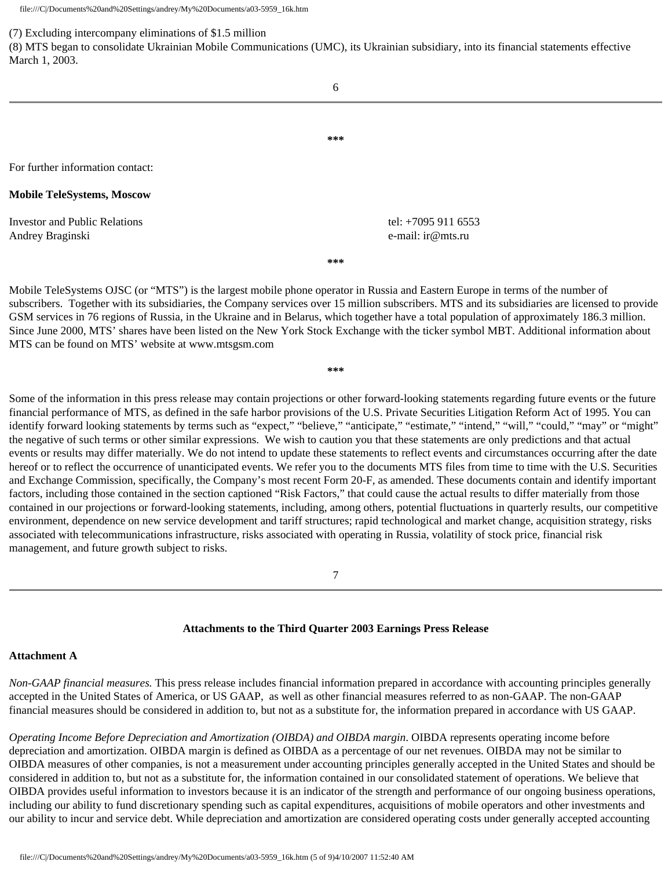#### (7) Excluding intercompany eliminations of \$1.5 million

(8) MTS began to consolidate Ukrainian Mobile Communications (UMC), its Ukrainian subsidiary, into its financial statements effective March 1, 2003.

6

**\*\*\***

For further information contact:

## **Mobile TeleSystems, Moscow**

Investor and Public Relations tel: +7095 911 6553 Andrey Braginski e-mail: ir @mts.ru

**\*\*\***

Mobile TeleSystems OJSC (or "MTS") is the largest mobile phone operator in Russia and Eastern Europe in terms of the number of subscribers. Together with its subsidiaries, the Company services over 15 million subscribers. MTS and its subsidiaries are licensed to provide GSM services in 76 regions of Russia, in the Ukraine and in Belarus, which together have a total population of approximately 186.3 million. Since June 2000, MTS' shares have been listed on the New York Stock Exchange with the ticker symbol MBT. Additional information about MTS can be found on MTS' website at www.mtsgsm.com

**\*\*\***

Some of the information in this press release may contain projections or other forward-looking statements regarding future events or the future financial performance of MTS, as defined in the safe harbor provisions of the U.S. Private Securities Litigation Reform Act of 1995. You can identify forward looking statements by terms such as "expect," "believe," "anticipate," "estimate," "intend," "will," "could," "may" or "might" the negative of such terms or other similar expressions. We wish to caution you that these statements are only predictions and that actual events or results may differ materially. We do not intend to update these statements to reflect events and circumstances occurring after the date hereof or to reflect the occurrence of unanticipated events. We refer you to the documents MTS files from time to time with the U.S. Securities and Exchange Commission, specifically, the Company's most recent Form 20-F, as amended. These documents contain and identify important factors, including those contained in the section captioned "Risk Factors," that could cause the actual results to differ materially from those contained in our projections or forward-looking statements, including, among others, potential fluctuations in quarterly results, our competitive environment, dependence on new service development and tariff structures; rapid technological and market change, acquisition strategy, risks associated with telecommunications infrastructure, risks associated with operating in Russia, volatility of stock price, financial risk management, and future growth subject to risks.

7

## **Attachments to the Third Quarter 2003 Earnings Press Release**

### **Attachment A**

*Non-GAAP financial measures.* This press release includes financial information prepared in accordance with accounting principles generally accepted in the United States of America, or US GAAP, as well as other financial measures referred to as non-GAAP. The non-GAAP financial measures should be considered in addition to, but not as a substitute for, the information prepared in accordance with US GAAP.

*Operating Income Before Depreciation and Amortization (OIBDA) and OIBDA margin*. OIBDA represents operating income before depreciation and amortization. OIBDA margin is defined as OIBDA as a percentage of our net revenues. OIBDA may not be similar to OIBDA measures of other companies, is not a measurement under accounting principles generally accepted in the United States and should be considered in addition to, but not as a substitute for, the information contained in our consolidated statement of operations. We believe that OIBDA provides useful information to investors because it is an indicator of the strength and performance of our ongoing business operations, including our ability to fund discretionary spending such as capital expenditures, acquisitions of mobile operators and other investments and our ability to incur and service debt. While depreciation and amortization are considered operating costs under generally accepted accounting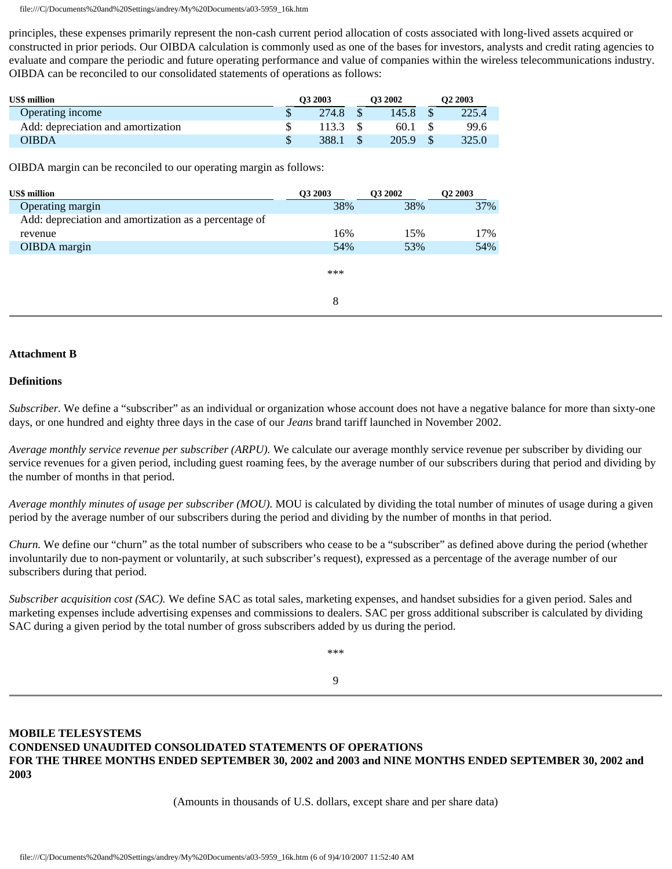principles, these expenses primarily represent the non-cash current period allocation of costs associated with long-lived assets acquired or constructed in prior periods. Our OIBDA calculation is commonly used as one of the bases for investors, analysts and credit rating agencies to evaluate and compare the periodic and future operating performance and value of companies within the wireless telecommunications industry. OIBDA can be reconciled to our consolidated statements of operations as follows:

| <b>US\$</b> million                | O <sub>3</sub> 2003 |       | O3 2002 | O <sub>2</sub> 2003 |       |  |
|------------------------------------|---------------------|-------|---------|---------------------|-------|--|
| Operating income                   |                     | 274.8 | 145.8   |                     | 225.4 |  |
| Add: depreciation and amortization |                     | 113.3 | 60.1    |                     | 99.6  |  |
| OIBDA                              |                     | 388.1 | 205.9   |                     | 325.0 |  |

OIBDA margin can be reconciled to our operating margin as follows:

| <b>US\$</b> million                                   | O3 2003 | <b>O3 2002</b> | O <sub>2</sub> 2003 |
|-------------------------------------------------------|---------|----------------|---------------------|
| Operating margin                                      | 38%     | 38%            | 37%                 |
| Add: depreciation and amortization as a percentage of |         |                |                     |
| revenue                                               | 16%     | 15%            | 17%                 |
| OIBDA margin                                          | 54%     | 53%            | 54%                 |
|                                                       | ***     |                |                     |
|                                                       | 8       |                |                     |

## **Attachment B**

## **Definitions**

*Subscriber.* We define a "subscriber" as an individual or organization whose account does not have a negative balance for more than sixty-one days, or one hundred and eighty three days in the case of our *Jeans* brand tariff launched in November 2002.

*Average monthly service revenue per subscriber (ARPU).* We calculate our average monthly service revenue per subscriber by dividing our service revenues for a given period, including guest roaming fees, by the average number of our subscribers during that period and dividing by the number of months in that period.

*Average monthly minutes of usage per subscriber (MOU).* MOU is calculated by dividing the total number of minutes of usage during a given period by the average number of our subscribers during the period and dividing by the number of months in that period.

*Churn.* We define our "churn" as the total number of subscribers who cease to be a "subscriber" as defined above during the period (whether involuntarily due to non-payment or voluntarily, at such subscriber's request), expressed as a percentage of the average number of our subscribers during that period.

*Subscriber acquisition cost (SAC)*. We define SAC as total sales, marketing expenses, and handset subsidies for a given period. Sales and marketing expenses include advertising expenses and commissions to dealers. SAC per gross additional subscriber is calculated by dividing SAC during a given period by the total number of gross subscribers added by us during the period.

\*\*\*

## 9

# **MOBILE TELESYSTEMS CONDENSED UNAUDITED CONSOLIDATED STATEMENTS OF OPERATIONS FOR THE THREE MONTHS ENDED SEPTEMBER 30, 2002 and 2003 and NINE MONTHS ENDED SEPTEMBER 30, 2002 and 2003**

(Amounts in thousands of U.S. dollars, except share and per share data)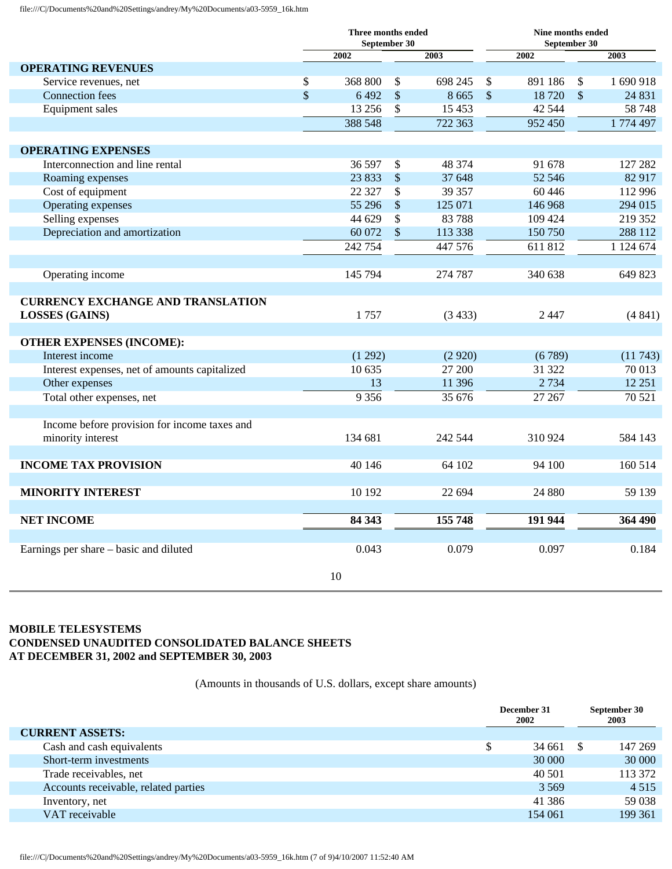|                                                                   | Three months ended<br>September 30 |         |                           |         |             | Nine months ended<br>September 30 |                           |             |
|-------------------------------------------------------------------|------------------------------------|---------|---------------------------|---------|-------------|-----------------------------------|---------------------------|-------------|
|                                                                   |                                    | 2002    |                           | 2003    |             | 2002                              |                           | 2003        |
| <b>OPERATING REVENUES</b>                                         |                                    |         |                           |         |             |                                   |                           |             |
| Service revenues, net                                             | \$                                 | 368 800 | $\sqrt[6]{\frac{1}{2}}$   | 698 245 | $\sqrt{3}$  | 891 186                           | $\sqrt[6]{\frac{1}{2}}$   | 1690918     |
| <b>Connection</b> fees                                            | $\sqrt{3}$                         | 6492    | $\boldsymbol{\mathsf{S}}$ | 8 6 6 5 | $\sqrt{\ }$ | 18720                             | $\boldsymbol{\mathsf{S}}$ | 24 8 31     |
| <b>Equipment sales</b>                                            |                                    | 13 25 6 | \$                        | 15 4 53 |             | 42 5 44                           |                           | 58748       |
|                                                                   |                                    | 388 548 |                           | 722 363 |             | 952 450                           |                           | 1774 497    |
| <b>OPERATING EXPENSES</b>                                         |                                    |         |                           |         |             |                                   |                           |             |
| Interconnection and line rental                                   |                                    | 36 597  | $\boldsymbol{\mathsf{S}}$ | 48 374  |             | 91 678                            |                           | 127 282     |
| Roaming expenses                                                  |                                    | 23 833  | $\$\,$                    | 37 648  |             | 52 546                            |                           | 82 917      |
| Cost of equipment                                                 |                                    | 22 3 27 | \$                        | 39 357  |             | 60 4 46                           |                           | 112 996     |
| Operating expenses                                                |                                    | 55 29 6 | $\boldsymbol{\mathsf{S}}$ | 125 071 |             | 146 968                           |                           | 294 015     |
| Selling expenses                                                  |                                    | 44 629  | \$                        | 83788   |             | 109 424                           |                           | 219 352     |
| Depreciation and amortization                                     |                                    | 60 072  | $\mathcal{S}$             | 113 338 |             | 150 750                           |                           | 288 112     |
|                                                                   |                                    | 242 754 |                           | 447 576 |             | 611 812                           |                           | 1 1 24 6 74 |
|                                                                   |                                    |         |                           |         |             |                                   |                           |             |
| Operating income                                                  |                                    | 145 794 |                           | 274 787 |             | 340 638                           |                           | 649 823     |
| <b>CURRENCY EXCHANGE AND TRANSLATION</b><br><b>LOSSES</b> (GAINS) |                                    | 1757    |                           | (3433)  |             | 2447                              |                           | (4841)      |
| <b>OTHER EXPENSES (INCOME):</b>                                   |                                    |         |                           |         |             |                                   |                           |             |
| Interest income                                                   |                                    | (1292)  |                           | (2920)  |             | (6789)                            |                           | (11743)     |
| Interest expenses, net of amounts capitalized                     |                                    | 10 635  |                           | 27 200  |             | 31 322                            |                           | 70 013      |
| Other expenses                                                    |                                    | 13      |                           | 11 39 6 |             | 2 7 3 4                           |                           | 12 25 1     |
| Total other expenses, net                                         |                                    | 9 3 5 6 |                           | 35676   |             | 27 267                            |                           | 70521       |
|                                                                   |                                    |         |                           |         |             |                                   |                           |             |
| Income before provision for income taxes and<br>minority interest |                                    | 134 681 |                           | 242 544 |             | 310 924                           |                           | 584 143     |
| <b>INCOME TAX PROVISION</b>                                       |                                    | 40 146  |                           | 64 102  |             | 94 100                            |                           | 160 514     |
|                                                                   |                                    |         |                           |         |             |                                   |                           |             |
| <b>MINORITY INTEREST</b>                                          |                                    | 10 192  |                           | 22 694  |             | 24 880                            |                           | 59 139      |
| <b>NET INCOME</b>                                                 |                                    | 84 343  |                           | 155 748 |             | 191 944                           |                           | 364490      |
| Earnings per share – basic and diluted                            |                                    | 0.043   |                           | 0.079   |             | 0.097                             |                           | 0.184       |
|                                                                   |                                    | 10      |                           |         |             |                                   |                           |             |

## **MOBILE TELESYSTEMS CONDENSED UNAUDITED CONSOLIDATED BALANCE SHEETS AT DECEMBER 31, 2002 and SEPTEMBER 30, 2003**

(Amounts in thousands of U.S. dollars, except share amounts)

|                                      | December 31<br>2002 |          | September 30<br>2003 |
|--------------------------------------|---------------------|----------|----------------------|
| <b>CURRENT ASSETS:</b>               |                     |          |                      |
| Cash and cash equivalents            | 34 661              | <b>S</b> | 147 269              |
| Short-term investments               | 30 000              |          | 30 000               |
| Trade receivables, net               | 40 501              |          | 113 372              |
| Accounts receivable, related parties | 3 5 6 9             |          | 4 5 1 5              |
| Inventory, net                       | 41 38 6             |          | 59 038               |
| VAT receivable                       | 154 061             |          | 199 361              |

file:///C|/Documents%20and%20Settings/andrey/My%20Documents/a03-5959\_16k.htm (7 of 9)4/10/2007 11:52:40 AM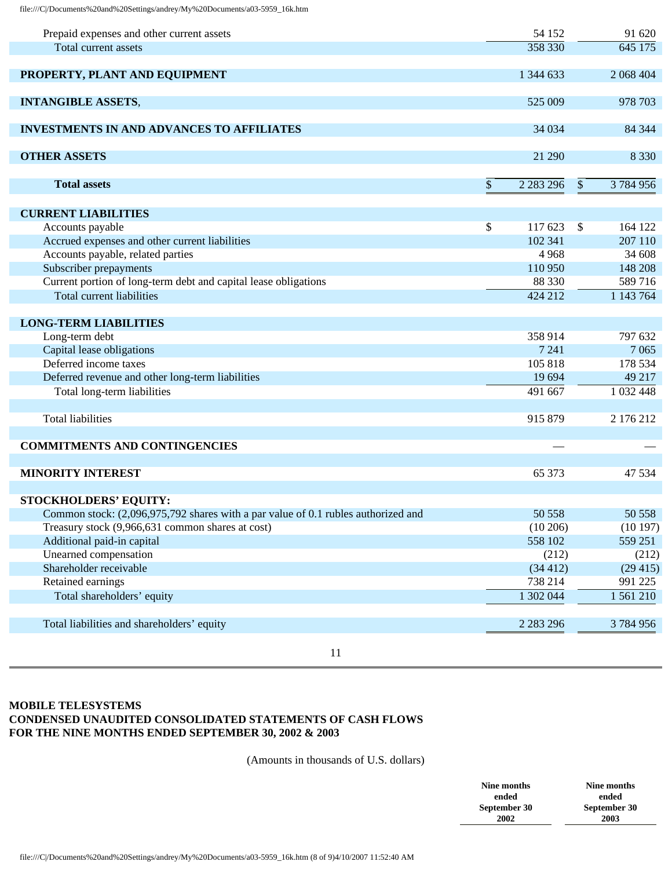| Prepaid expenses and other current assets                                         | 54 152              |         | 91 620        |
|-----------------------------------------------------------------------------------|---------------------|---------|---------------|
| Total current assets                                                              | 358 330             |         | 645 175       |
|                                                                                   |                     |         |               |
| PROPERTY, PLANT AND EQUIPMENT                                                     | 1 344 633           |         | 2 068 404     |
|                                                                                   |                     |         |               |
| <b>INTANGIBLE ASSETS,</b>                                                         | 525 009             |         | 978 703       |
|                                                                                   |                     |         |               |
| <b>INVESTMENTS IN AND ADVANCES TO AFFILIATES</b>                                  | 34 034              |         | 84 344        |
|                                                                                   |                     |         |               |
| <b>OTHER ASSETS</b>                                                               | 21 290              |         | 8 3 3 0       |
|                                                                                   |                     |         |               |
| <b>Total assets</b>                                                               | \$<br>2 2 8 2 2 9 6 | $\sqrt$ | 3 784 956     |
|                                                                                   |                     |         |               |
| <b>CURRENT LIABILITIES</b>                                                        |                     |         |               |
| Accounts payable                                                                  | \$<br>117 623       | \$      | 164 122       |
| Accrued expenses and other current liabilities                                    | 102 341             |         | 207 110       |
| Accounts payable, related parties                                                 | 4968                |         | 34 608        |
| Subscriber prepayments                                                            | 110 950             |         | 148 208       |
| Current portion of long-term debt and capital lease obligations                   | 88 330              |         | 589716        |
| Total current liabilities                                                         | 424 212             |         | 1 143 764     |
|                                                                                   |                     |         |               |
| <b>LONG-TERM LIABILITIES</b>                                                      |                     |         |               |
| Long-term debt                                                                    | 358 914             |         | 797 632       |
| Capital lease obligations                                                         | 7 2 4 1             |         | 7 0 6 5       |
| Deferred income taxes                                                             | 105 818             |         | 178 534       |
| Deferred revenue and other long-term liabilities                                  | 19 694              |         | 49 217        |
| Total long-term liabilities                                                       | 491 667             |         | 1 0 3 2 4 4 8 |
|                                                                                   |                     |         |               |
| <b>Total liabilities</b>                                                          | 915 879             |         | 2 176 212     |
|                                                                                   |                     |         |               |
| <b>COMMITMENTS AND CONTINGENCIES</b>                                              |                     |         |               |
|                                                                                   |                     |         |               |
| <b>MINORITY INTEREST</b>                                                          | 65 373              |         | 47 534        |
|                                                                                   |                     |         |               |
| <b>STOCKHOLDERS' EQUITY:</b>                                                      |                     |         |               |
| Common stock: (2,096,975,792 shares with a par value of 0.1 rubles authorized and | 50 558              |         | 50 558        |
| Treasury stock (9,966,631 common shares at cost)                                  | (10206)             |         | (10197)       |
| Additional paid-in capital                                                        | 558 102             |         | 559 251       |
| Unearned compensation                                                             | (212)               |         | (212)         |
| Shareholder receivable                                                            | (34412)             |         | (29415)       |
| Retained earnings                                                                 | 738 214             |         | 991 225       |
| Total shareholders' equity                                                        | 1 302 044           |         | 1561210       |
|                                                                                   |                     |         |               |
| Total liabilities and shareholders' equity                                        | 2 2 8 2 2 9 6       |         | 3784956       |
|                                                                                   |                     |         |               |

11

# **MOBILE TELESYSTEMS CONDENSED UNAUDITED CONSOLIDATED STATEMENTS OF CASH FLOWS FOR THE NINE MONTHS ENDED SEPTEMBER 30, 2002 & 2003**

(Amounts in thousands of U.S. dollars)

| Nine months  | Nine months  |
|--------------|--------------|
| ended        | ended        |
| September 30 | September 30 |
| 2002         | 2003         |
|              |              |